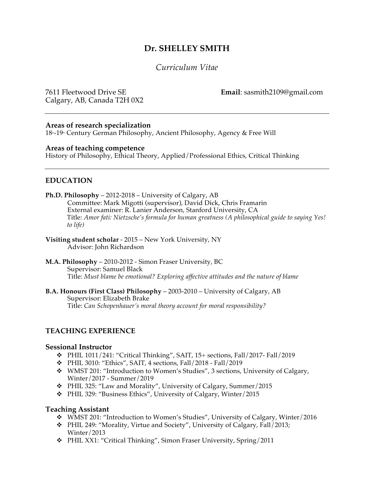# **Dr. SHELLEY SMITH**

# *Curriculum Vitae*

Calgary, AB, Canada T2H 0X2

7611 Fleetwood Drive SE **Email**: sasmith2109@gmail.com

## **Areas of research specialization**

18<sup>th-19th</sup> Century German Philosophy, Ancient Philosophy, Agency & Free Will

#### **Areas of teaching competence**

History of Philosophy, Ethical Theory, Applied/Professional Ethics, Critical Thinking

## **EDUCATION**

- **Ph.D. Philosophy** 2012-2018 University of Calgary, AB Committee: Mark Migotti (supervisor), David Dick, Chris Framarin External examiner: R. Lanier Anderson, Stanford University, CA Title: *Amor fati: Nietzsche's formula for human greatness (A philosophical guide to saying Yes! to life)*
- **Visiting student scholar**  2015 New York University, NY Advisor: John Richardson
- **M.A. Philosophy** 2010-2012 Simon Fraser University, BC Supervisor: Samuel Black Title: *Must blame be emotional? Exploring affective attitudes and the nature of blame*

**B.A. Honours (First Class) Philosophy** – 2003-2010 – University of Calgary, AB Supervisor: Elizabeth Brake Title: *Can Schopenhauer's moral theory account for moral responsibility?*

## **TEACHING EXPERIENCE**

#### **Sessional Instructor**

- v PHIL 1011/241: "Critical Thinking", SAIT, 15+ sections, Fall/2017- Fall/2019
- $\div$  PHIL 3010: "Ethics", SAIT, 4 sections, Fall/2018 Fall/2019
- v WMST 201: "Introduction to Women's Studies", 3 sections, University of Calgary, Winter/2017 - Summer/2019
- v PHIL 325: "Law and Morality", University of Calgary, Summer/2015
- v PHIL 329: "Business Ethics", University of Calgary, Winter/2015

## **Teaching Assistant**

- v WMST 201: "Introduction to Women's Studies", University of Calgary, Winter/2016
- v PHIL 249: "Morality, Virtue and Society", University of Calgary, Fall/2013; Winter/2013
- v PHIL XX1: "Critical Thinking", Simon Fraser University, Spring/2011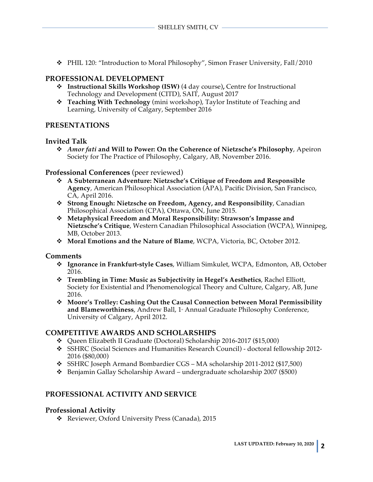v PHIL 120: "Introduction to Moral Philosophy", Simon Fraser University, Fall/2010

## **PROFESSIONAL DEVELOPMENT**

- v **Instructional Skills Workshop (ISW)** (4 day course)**,** Centre for Instructional Technology and Development (CITD), SAIT, August 2017
- v **Teaching With Technology** (mini workshop), Taylor Institute of Teaching and Learning, University of Calgary, September 2016

## **PRESENTATIONS**

#### **Invited Talk**

v *Amor fati* **and Will to Power: On the Coherence of Nietzsche's Philosophy**, Apeiron Society for The Practice of Philosophy, Calgary, AB, November 2016.

## **Professional Conferences** (peer reviewed)

- v **A Subterranean Adventure: Nietzsche's Critique of Freedom and Responsible Agency**, American Philosophical Association (APA), Pacific Division, San Francisco, CA, April 2016.
- v **Strong Enough: Nietzsche on Freedom, Agency, and Responsibility**, Canadian Philosophical Association (CPA), Ottawa, ON, June 2015.
- v **Metaphysical Freedom and Moral Responsibility: Strawson's Impasse and Nietzsche's Critique**, Western Canadian Philosophical Association (WCPA), Winnipeg, MB, October 2013.
- v **Moral Emotions and the Nature of Blame**, WCPA, Victoria, BC, October 2012.

## **Comments**

- v **Ignorance in Frankfurt-style Cases**, William Simkulet, WCPA, Edmonton, AB, October 2016.
- v **Trembling in Time: Music as Subjectivity in Hegel's Aesthetics**, Rachel Elliott, Society for Existential and Phenomenological Theory and Culture, Calgary, AB, June 2016.
- v **Moore's Trolley: Cashing Out the Causal Connection between Moral Permissibility**  and Blameworthiness, Andrew Ball, 1<sup>\*</sup> Annual Graduate Philosophy Conference, University of Calgary, April 2012.

## **COMPETITIVE AWARDS AND SCHOLARSHIPS**

- v Queen Elizabeth II Graduate (Doctoral) Scholarship 2016-2017 (\$15,000)
- v SSHRC (Social Sciences and Humanities Research Council) doctoral fellowship 2012- 2016 (\$80,000)
- v SSHRC Joseph Armand Bombardier CGS MA scholarship 2011-2012 (\$17,500)
- $\div$  Benjamin Gallay Scholarship Award undergraduate scholarship 2007 (\$500)

# **PROFESSIONAL ACTIVITY AND SERVICE**

## **Professional Activity**

v Reviewer, Oxford University Press (Canada), 2015